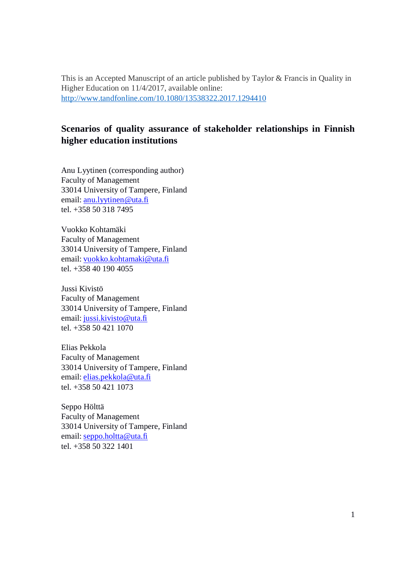This is an Accepted Manuscript of an article published by Taylor & Francis in Quality in Higher Education on 11/4/2017, available online: http://www.tandfonline.com/10.1080/13538322.2017.1294410

# **Scenarios of quality assurance of stakeholder relationships in Finnish higher education institutions**

Anu Lyytinen (corresponding author) Faculty of Management 33014 University of Tampere, Finland email: anu.lyytinen@uta.fi tel. +358 50 318 7495

Vuokko Kohtamäki Faculty of Management 33014 University of Tampere, Finland email: vuokko.kohtamaki@uta.fi tel. +358 40 190 4055

Jussi Kivistö Faculty of Management 33014 University of Tampere, Finland email: jussi.kivisto@uta.fi tel. +358 50 421 1070

Elias Pekkola Faculty of Management 33014 University of Tampere, Finland email: elias.pekkola@uta.fi tel. +358 50 421 1073

Seppo Hölttä Faculty of Management 33014 University of Tampere, Finland email: seppo.holtta@uta.fi tel. +358 50 322 1401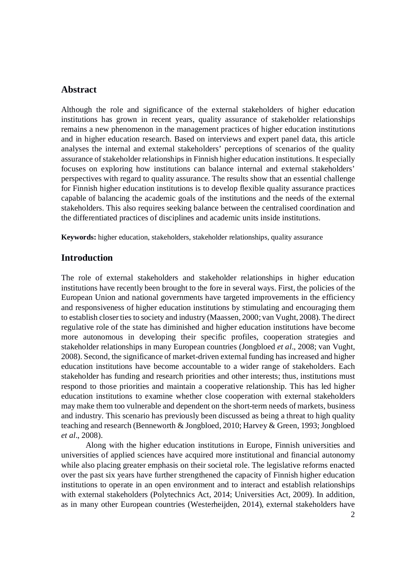## **Abstract**

Although the role and significance of the external stakeholders of higher education institutions has grown in recent years, quality assurance of stakeholder relationships remains a new phenomenon in the management practices of higher education institutions and in higher education research. Based on interviews and expert panel data, this article analyses the internal and external stakeholders' perceptions of scenarios of the quality assurance of stakeholder relationships in Finnish higher education institutions. It especially focuses on exploring how institutions can balance internal and external stakeholders' perspectives with regard to quality assurance. The results show that an essential challenge for Finnish higher education institutions is to develop flexible quality assurance practices capable of balancing the academic goals of the institutions and the needs of the external stakeholders. This also requires seeking balance between the centralised coordination and the differentiated practices of disciplines and academic units inside institutions.

**Keywords:** higher education, stakeholders, stakeholder relationships, quality assurance

### **Introduction**

The role of external stakeholders and stakeholder relationships in higher education institutions have recently been brought to the fore in several ways. First, the policies of the European Union and national governments have targeted improvements in the efficiency and responsiveness of higher education institutions by stimulating and encouraging them to establish closer ties to society and industry (Maassen, 2000; van Vught, 2008). The direct regulative role of the state has diminished and higher education institutions have become more autonomous in developing their specific profiles, cooperation strategies and stakeholder relationships in many European countries (Jongbloed *et al*., 2008; van Vught, 2008). Second, the significance of market-driven external funding has increased and higher education institutions have become accountable to a wider range of stakeholders. Each stakeholder has funding and research priorities and other interests; thus, institutions must respond to those priorities and maintain a cooperative relationship. This has led higher education institutions to examine whether close cooperation with external stakeholders may make them too vulnerable and dependent on the short-term needs of markets, business and industry. This scenario has previously been discussed as being a threat to high quality teaching and research (Benneworth & Jongbloed, 2010; Harvey & Green, 1993; Jongbloed *et al*., 2008).

Along with the higher education institutions in Europe, Finnish universities and universities of applied sciences have acquired more institutional and financial autonomy while also placing greater emphasis on their societal role. The legislative reforms enacted over the past six years have further strengthened the capacity of Finnish higher education institutions to operate in an open environment and to interact and establish relationships with external stakeholders (Polytechnics Act, 2014; Universities Act, 2009). In addition, as in many other European countries (Westerheijden, 2014), external stakeholders have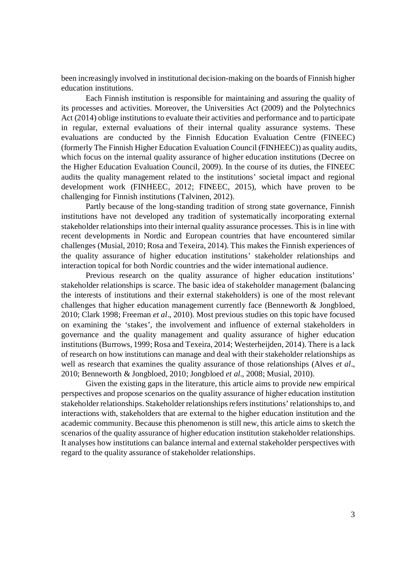been increasingly involved in institutional decision-making on the boards of Finnish higher education institutions.

Each Finnish institution is responsible for maintaining and assuring the quality of its processes and activities. Moreover, the Universities Act (2009) and the Polytechnics Act (2014) oblige institutions to evaluate their activities and performance and to participate in regular, external evaluations of their internal quality assurance systems. These evaluations are conducted by the Finnish Education Evaluation Centre (FINEEC) (formerly The Finnish Higher Education Evaluation Council (FINHEEC)) as quality audits, which focus on the internal quality assurance of higher education institutions (Decree on the Higher Education Evaluation Council, 2009). In the course of its duties, the FINEEC audits the quality management related to the institutions' societal impact and regional development work (FINHEEC, 2012; FINEEC, 2015), which have proven to be challenging for Finnish institutions (Talvinen, 2012).

Partly because of the long-standing tradition of strong state governance, Finnish institutions have not developed any tradition of systematically incorporating external stakeholder relationships into their internal quality assurance processes. This is in line with recent developments in Nordic and European countries that have encountered similar challenges (Musial, 2010; Rosa and Texeira, 2014). This makes the Finnish experiences of the quality assurance of higher education institutions' stakeholder relationships and interaction topical for both Nordic countries and the wider international audience.

Previous research on the quality assurance of higher education institutions' stakeholder relationships is scarce. The basic idea of stakeholder management (balancing the interests of institutions and their external stakeholders) is one of the most relevant challenges that higher education management currently face (Benneworth & Jongbloed, 2010; Clark 1998; Freeman *et al*., 2010). Most previous studies on this topic have focused on examining the 'stakes', the involvement and influence of external stakeholders in governance and the quality management and quality assurance of higher education institutions (Burrows, 1999; Rosa and Texeira, 2014; Westerheijden, 2014). There is a lack of research on how institutions can manage and deal with their stakeholder relationships as well as research that examines the quality assurance of those relationships (Alves *et al*., 2010; Benneworth & Jongbloed, 2010; Jongbloed *et al*., 2008; Musial, 2010).

Given the existing gaps in the literature, this article aims to provide new empirical perspectives and propose scenarios on the quality assurance of higher education institution stakeholder relationships. Stakeholder relationships refers institutions' relationships to, and interactions with, stakeholders that are external to the higher education institution and the academic community. Because this phenomenon is still new, this article aims to sketch the scenarios of the quality assurance of higher education institution stakeholder relationships. It analyses how institutions can balance internal and external stakeholder perspectives with regard to the quality assurance of stakeholder relationships.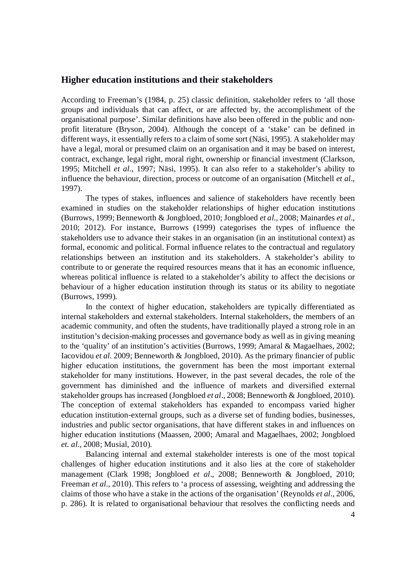#### **Higher education institutions and their stakeholders**

According to Freeman's (1984, p. 25) classic definition, stakeholder refers to 'all those groups and individuals that can affect, or are affected by, the accomplishment of the organisational purpose'. Similar definitions have also been offered in the public and nonprofit literature (Bryson, 2004). Although the concept of a 'stake' can be defined in different ways, it essentially refers to a claim of some sort (Näsi, 1995). A stakeholder may have a legal, moral or presumed claim on an organisation and it may be based on interest, contract, exchange, legal right, moral right, ownership or financial investment (Clarkson, 1995; Mitchell *et al*., 1997; Näsi, 1995). It can also refer to a stakeholder's ability to influence the behaviour, direction, process or outcome of an organisation (Mitchell *et al*., 1997).

The types of stakes, influences and salience of stakeholders have recently been examined in studies on the stakeholder relationships of higher education institutions (Burrows, 1999; Benneworth & Jongbloed, 2010; Jongbloed *et al*., 2008; Mainardes *et al*., 2010; 2012). For instance, Burrows (1999) categorises the types of influence the stakeholders use to advance their stakes in an organisation (in an institutional context) as formal, economic and political. Formal influence relates to the contractual and regulatory relationships between an institution and its stakeholders. A stakeholder's ability to contribute to or generate the required resources means that it has an economic influence, whereas political influence is related to a stakeholder's ability to affect the decisions or behaviour of a higher education institution through its status or its ability to negotiate (Burrows, 1999).

In the context of higher education, stakeholders are typically differentiated as internal stakeholders and external stakeholders. Internal stakeholders, the members of an academic community, and often the students, have traditionally played a strong role in an institution's decision-making processes and governance body as well as in giving meaning to the 'quality' of an institution's activities (Burrows, 1999; Amaral & Magaelhaes, 2002; Iacovidou *et al.* 2009; Benneworth & Jongbloed, 2010). As the primary financier of public higher education institutions, the government has been the most important external stakeholder for many institutions. However, in the past several decades, the role of the government has diminished and the influence of markets and diversified external stakeholder groups has increased (Jongbloed *et al*., 2008; Benneworth & Jongbloed, 2010). The conception of external stakeholders has expanded to encompass varied higher education institution-external groups, such as a diverse set of funding bodies, businesses, industries and public sector organisations, that have different stakes in and influences on higher education institutions (Maassen, 2000; Amaral and Magaelhaes, 2002; Jongbloed *et. al*., 2008; Musial, 2010).

Balancing internal and external stakeholder interests is one of the most topical challenges of higher education institutions and it also lies at the core of stakeholder management (Clark 1998; Jongbloed *et al*., 2008; Benneworth & Jongbloed, 2010; Freeman *et al.*, 2010). This refers to 'a process of assessing, weighting and addressing the claims of those who have a stake in the actions of the organisation' (Reynolds *et al*., 2006, p. 286). It is related to organisational behaviour that resolves the conflicting needs and

4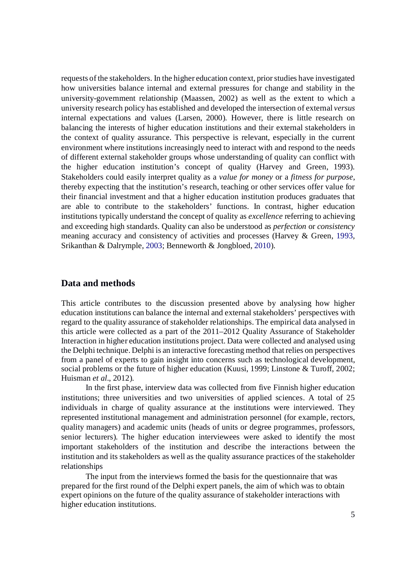requests of the stakeholders. In the higher education context, prior studies have investigated how universities balance internal and external pressures for change and stability in the university-government relationship (Maassen, 2002) as well as the extent to which a university research policy has established and developed the intersection of external *versus* internal expectations and values (Larsen, 2000). However, there is little research on balancing the interests of higher education institutions and their external stakeholders in the context of quality assurance. This perspective is relevant, especially in the current environment where institutions increasingly need to interact with and respond to the needs of different external stakeholder groups whose understanding of quality can conflict with the higher education institution's concept of quality (Harvey and Green, 1993). Stakeholders could easily interpret quality as a *value for money* or a *fitness for purpose*, thereby expecting that the institution's research, teaching or other services offer value for their financial investment and that a higher education institution produces graduates that are able to contribute to the stakeholders' functions. In contrast, higher education institutions typically understand the concept of quality as *excellence* referring to achieving and exceeding high standards. Quality can also be understood as *perfection* or *consistency* meaning accuracy and consistency of activities and processes (Harvey & Green, 1993, Srikanthan & Dalrymple, 2003; Benneworth & Jongbloed, 2010).

## **Data and methods**

This article contributes to the discussion presented above by analysing how higher education institutions can balance the internal and external stakeholders' perspectives with regard to the quality assurance of stakeholder relationships. The empirical data analysed in this article were collected as a part of the 2011–2012 Quality Assurance of Stakeholder Interaction in higher education institutions project. Data were collected and analysed using the Delphi technique. Delphi is an interactive forecasting method that relies on perspectives from a panel of experts to gain insight into concerns such as technological development, social problems or the future of higher education (Kuusi, 1999; Linstone & Turoff, 2002; Huisman *et al*., 2012).

In the first phase, interview data was collected from five Finnish higher education institutions; three universities and two universities of applied sciences. A total of 25 individuals in charge of quality assurance at the institutions were interviewed. They represented institutional management and administration personnel (for example, rectors, quality managers) and academic units (heads of units or degree programmes, professors, senior lecturers). The higher education interviewees were asked to identify the most important stakeholders of the institution and describe the interactions between the institution and its stakeholders as well as the quality assurance practices of the stakeholder relationships

The input from the interviews formed the basis for the questionnaire that was prepared for the first round of the Delphi expert panels, the aim of which was to obtain expert opinions on the future of the quality assurance of stakeholder interactions with higher education institutions.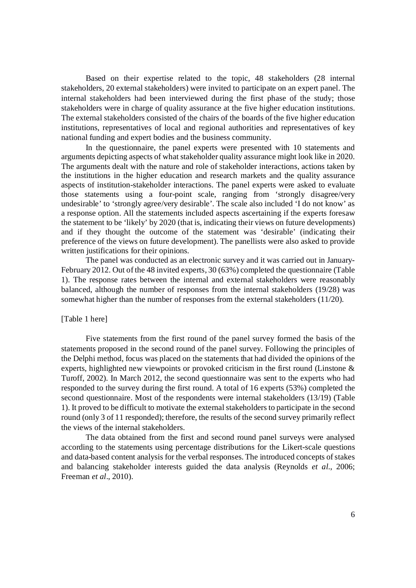Based on their expertise related to the topic, 48 stakeholders (28 internal stakeholders, 20 external stakeholders) were invited to participate on an expert panel. The internal stakeholders had been interviewed during the first phase of the study; those stakeholders were in charge of quality assurance at the five higher education institutions. The external stakeholders consisted of the chairs of the boards of the five higher education institutions, representatives of local and regional authorities and representatives of key national funding and expert bodies and the business community.

In the questionnaire, the panel experts were presented with 10 statements and arguments depicting aspects of what stakeholder quality assurance might look like in 2020. The arguments dealt with the nature and role of stakeholder interactions, actions taken by the institutions in the higher education and research markets and the quality assurance aspects of institution-stakeholder interactions. The panel experts were asked to evaluate those statements using a four-point scale, ranging from 'strongly disagree/very undesirable' to 'strongly agree/very desirable'. The scale also included 'I do not know' as a response option. All the statements included aspects ascertaining if the experts foresaw the statement to be 'likely' by 2020 (that is, indicating their views on future developments) and if they thought the outcome of the statement was 'desirable' (indicating their preference of the views on future development). The panellists were also asked to provide written justifications for their opinions.

The panel was conducted as an electronic survey and it was carried out in January-February 2012. Out of the 48 invited experts, 30 (63%) completed the questionnaire (Table 1). The response rates between the internal and external stakeholders were reasonably balanced, although the number of responses from the internal stakeholders (19/28) was somewhat higher than the number of responses from the external stakeholders (11/20).

#### [Table 1 here]

Five statements from the first round of the panel survey formed the basis of the statements proposed in the second round of the panel survey. Following the principles of the Delphi method, focus was placed on the statements that had divided the opinions of the experts, highlighted new viewpoints or provoked criticism in the first round (Linstone & Turoff, 2002). In March 2012, the second questionnaire was sent to the experts who had responded to the survey during the first round. A total of 16 experts (53%) completed the second questionnaire. Most of the respondents were internal stakeholders (13/19) (Table 1). It proved to be difficult to motivate the external stakeholders to participate in the second round (only 3 of 11 responded); therefore, the results of the second survey primarily reflect the views of the internal stakeholders.

The data obtained from the first and second round panel surveys were analysed according to the statements using percentage distributions for the Likert-scale questions and data-based content analysis for the verbal responses. The introduced concepts of stakes and balancing stakeholder interests guided the data analysis (Reynolds *et al*., 2006; Freeman *et al*., 2010).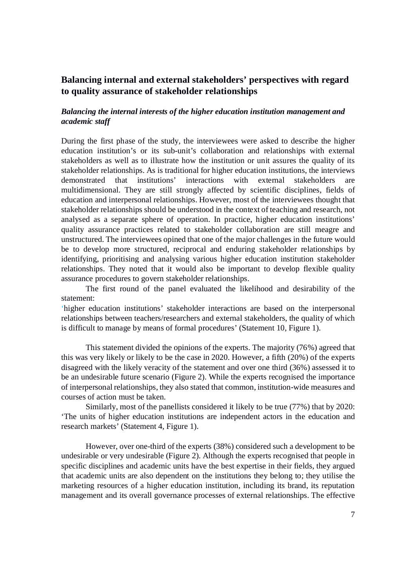# **Balancing internal and external stakeholders' perspectives with regard to quality assurance of stakeholder relationships**

# *Balancing the internal interests of the higher education institution management and academic staff*

During the first phase of the study, the interviewees were asked to describe the higher education institution's or its sub-unit's collaboration and relationships with external stakeholders as well as to illustrate how the institution or unit assures the quality of its stakeholder relationships. As is traditional for higher education institutions, the interviews demonstrated that institutions' interactions with external stakeholders are multidimensional. They are still strongly affected by scientific disciplines, fields of education and interpersonal relationships. However, most of the interviewees thought that stakeholder relationships should be understood in the context of teaching and research, not analysed as a separate sphere of operation. In practice, higher education institutions' quality assurance practices related to stakeholder collaboration are still meagre and unstructured. The interviewees opined that one of the major challenges in the future would be to develop more structured, reciprocal and enduring stakeholder relationships by identifying, prioritising and analysing various higher education institution stakeholder relationships. They noted that it would also be important to develop flexible quality assurance procedures to govern stakeholder relationships.

The first round of the panel evaluated the likelihood and desirability of the statement:

'higher education institutions' stakeholder interactions are based on the interpersonal relationships between teachers/researchers and external stakeholders, the quality of which is difficult to manage by means of formal procedures' (Statement 10, Figure 1).

This statement divided the opinions of the experts. The majority (76%) agreed that this was very likely or likely to be the case in 2020. However, a fifth (20%) of the experts disagreed with the likely veracity of the statement and over one third (36%) assessed it to be an undesirable future scenario (Figure 2). While the experts recognised the importance of interpersonal relationships, they also stated that common, institution-wide measures and courses of action must be taken.

Similarly, most of the panellists considered it likely to be true (77%) that by 2020: 'The units of higher education institutions are independent actors in the education and research markets' (Statement 4, Figure 1).

However, over one-third of the experts (38%) considered such a development to be undesirable or very undesirable (Figure 2). Although the experts recognised that people in specific disciplines and academic units have the best expertise in their fields, they argued that academic units are also dependent on the institutions they belong to; they utilise the marketing resources of a higher education institution, including its brand, its reputation management and its overall governance processes of external relationships. The effective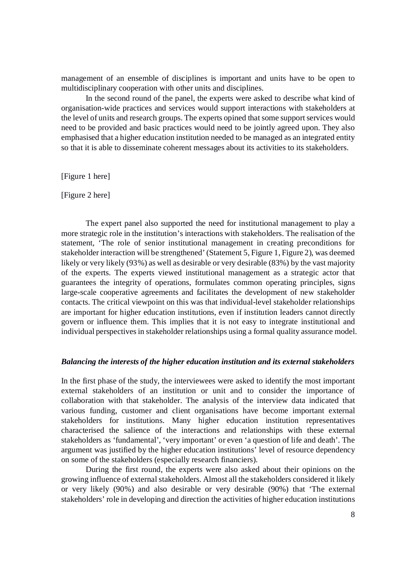management of an ensemble of disciplines is important and units have to be open to multidisciplinary cooperation with other units and disciplines.

In the second round of the panel, the experts were asked to describe what kind of organisation-wide practices and services would support interactions with stakeholders at the level of units and research groups. The experts opined that some support services would need to be provided and basic practices would need to be jointly agreed upon. They also emphasised that a higher education institution needed to be managed as an integrated entity so that it is able to disseminate coherent messages about its activities to its stakeholders.

[Figure 1 here]

[Figure 2 here]

The expert panel also supported the need for institutional management to play a more strategic role in the institution's interactions with stakeholders. The realisation of the statement, 'The role of senior institutional management in creating preconditions for stakeholder interaction will be strengthened' (Statement 5, Figure 1, Figure 2), was deemed likely or very likely (93%) as well as desirable or very desirable (83%) by the vast majority of the experts. The experts viewed institutional management as a strategic actor that guarantees the integrity of operations, formulates common operating principles, signs large-scale cooperative agreements and facilitates the development of new stakeholder contacts. The critical viewpoint on this was that individual-level stakeholder relationships are important for higher education institutions, even if institution leaders cannot directly govern or influence them. This implies that it is not easy to integrate institutional and individual perspectives in stakeholder relationships using a formal quality assurance model.

#### *Balancing the interests of the higher education institution and its external stakeholders*

In the first phase of the study, the interviewees were asked to identify the most important external stakeholders of an institution or unit and to consider the importance of collaboration with that stakeholder. The analysis of the interview data indicated that various funding, customer and client organisations have become important external stakeholders for institutions. Many higher education institution representatives characterised the salience of the interactions and relationships with these external stakeholders as 'fundamental', 'very important' or even 'a question of life and death'. The argument was justified by the higher education institutions' level of resource dependency on some of the stakeholders (especially research financiers).

During the first round, the experts were also asked about their opinions on the growing influence of external stakeholders. Almost all the stakeholders considered it likely or very likely (90%) and also desirable or very desirable (90%) that 'The external stakeholders' role in developing and direction the activities of higher education institutions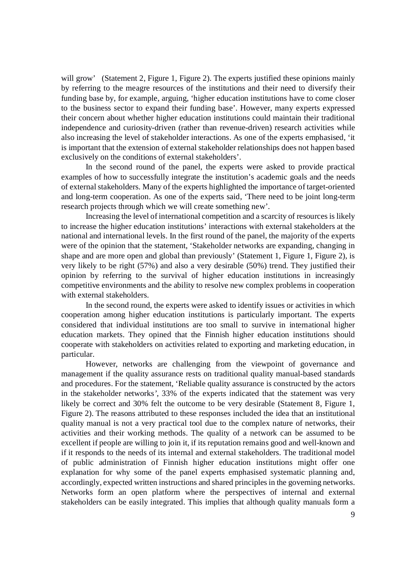will grow' (Statement 2, Figure 1, Figure 2). The experts justified these opinions mainly by referring to the meagre resources of the institutions and their need to diversify their funding base by, for example, arguing, 'higher education institutions have to come closer to the business sector to expand their funding base'. However, many experts expressed their concern about whether higher education institutions could maintain their traditional independence and curiosity-driven (rather than revenue-driven) research activities while also increasing the level of stakeholder interactions. As one of the experts emphasised, 'it is important that the extension of external stakeholder relationships does not happen based exclusively on the conditions of external stakeholders'.

In the second round of the panel, the experts were asked to provide practical examples of how to successfully integrate the institution's academic goals and the needs of external stakeholders. Many of the experts highlighted the importance of target-oriented and long-term cooperation. As one of the experts said, 'There need to be joint long-term research projects through which we will create something new'.

Increasing the level of international competition and a scarcity of resources is likely to increase the higher education institutions' interactions with external stakeholders at the national and international levels. In the first round of the panel, the majority of the experts were of the opinion that the statement, 'Stakeholder networks are expanding, changing in shape and are more open and global than previously' (Statement 1, Figure 1, Figure 2), is very likely to be right (57%) and also a very desirable (50%) trend. They justified their opinion by referring to the survival of higher education institutions in increasingly competitive environments and the ability to resolve new complex problems in cooperation with external stakeholders.

In the second round, the experts were asked to identify issues or activities in which cooperation among higher education institutions is particularly important. The experts considered that individual institutions are too small to survive in international higher education markets. They opined that the Finnish higher education institutions should cooperate with stakeholders on activities related to exporting and marketing education, in particular.

However, networks are challenging from the viewpoint of governance and management if the quality assurance rests on traditional quality manual-based standards and procedures. For the statement, 'Reliable quality assurance is constructed by the actors in the stakeholder networks*'*, 33% of the experts indicated that the statement was very likely be correct and 30% felt the outcome to be very desirable (Statement 8, Figure 1, Figure 2). The reasons attributed to these responses included the idea that an institutional quality manual is not a very practical tool due to the complex nature of networks, their activities and their working methods. The quality of a network can be assumed to be excellent if people are willing to join it, if its reputation remains good and well-known and if it responds to the needs of its internal and external stakeholders. The traditional model of public administration of Finnish higher education institutions might offer one explanation for why some of the panel experts emphasised systematic planning and, accordingly, expected written instructions and shared principles in the governing networks. Networks form an open platform where the perspectives of internal and external stakeholders can be easily integrated. This implies that although quality manuals form a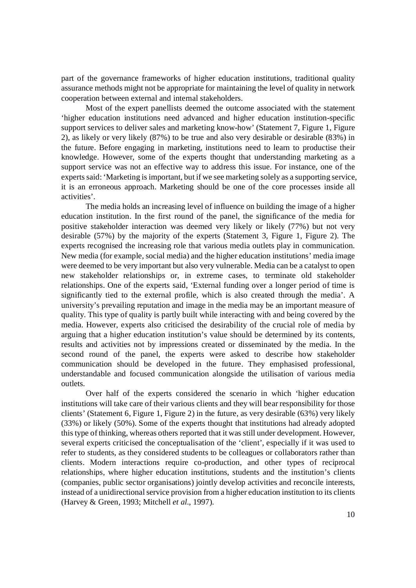part of the governance frameworks of higher education institutions, traditional quality assurance methods might not be appropriate for maintaining the level of quality in network cooperation between external and internal stakeholders.

Most of the expert panellists deemed the outcome associated with the statement 'higher education institutions need advanced and higher education institution-specific support services to deliver sales and marketing know-how' (Statement 7, Figure 1, Figure 2), as likely or very likely (87%) to be true and also very desirable or desirable (83%) in the future. Before engaging in marketing, institutions need to learn to productise their knowledge. However, some of the experts thought that understanding marketing as a support service was not an effective way to address this issue. For instance, one of the experts said: 'Marketing is important, but if we see marketing solely as a supporting service, it is an erroneous approach. Marketing should be one of the core processes inside all activities'.

The media holds an increasing level of influence on building the image of a higher education institution. In the first round of the panel, the significance of the media for positive stakeholder interaction was deemed very likely or likely (77%) but not very desirable (57%) by the majority of the experts (Statement 3, Figure 1, Figure 2). The experts recognised the increasing role that various media outlets play in communication. New media (for example, social media) and the higher education institutions' media image were deemed to be very important but also very vulnerable. Media can be a catalyst to open new stakeholder relationships or, in extreme cases, to terminate old stakeholder relationships. One of the experts said, 'External funding over a longer period of time is significantly tied to the external profile, which is also created through the media'. A university's prevailing reputation and image in the media may be an important measure of quality. This type of quality is partly built while interacting with and being covered by the media. However, experts also criticised the desirability of the crucial role of media by arguing that a higher education institution's value should be determined by its contents, results and activities not by impressions created or disseminated by the media. In the second round of the panel, the experts were asked to describe how stakeholder communication should be developed in the future. They emphasised professional, understandable and focused communication alongside the utilisation of various media outlets.

Over half of the experts considered the scenario in which 'higher education institutions will take care of their various clients and they will bear responsibility for those clients' (Statement 6, Figure 1, Figure 2) in the future, as very desirable (63%) very likely (33%) or likely (50%). Some of the experts thought that institutions had already adopted this type of thinking, whereas others reported that it was still under development. However, several experts criticised the conceptualisation of the 'client', especially if it was used to refer to students, as they considered students to be colleagues or collaborators rather than clients. Modern interactions require co-production, and other types of reciprocal relationships, where higher education institutions, students and the institution's clients (companies, public sector organisations) jointly develop activities and reconcile interests, instead of a unidirectional service provision from a higher education institution to its clients (Harvey & Green, 1993; Mitchell *et al*., 1997).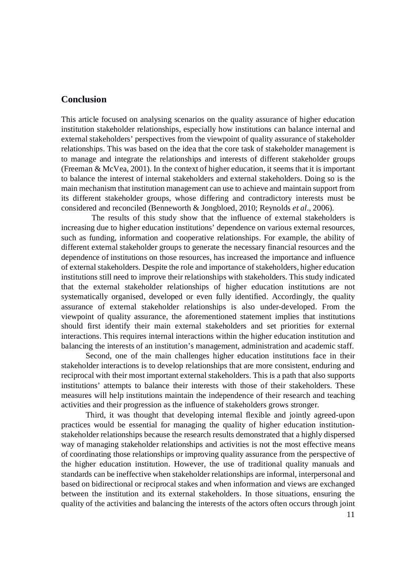## **Conclusion**

This article focused on analysing scenarios on the quality assurance of higher education institution stakeholder relationships, especially how institutions can balance internal and external stakeholders' perspectives from the viewpoint of quality assurance of stakeholder relationships. This was based on the idea that the core task of stakeholder management is to manage and integrate the relationships and interests of different stakeholder groups (Freeman & McVea, 2001). In the context of higher education, it seems that it is important to balance the interest of internal stakeholders and external stakeholders. Doing so is the main mechanism that institution management can use to achieve and maintain support from its different stakeholder groups, whose differing and contradictory interests must be considered and reconciled (Benneworth & Jongbloed, 2010; Reynolds *et al*., 2006).

 The results of this study show that the influence of external stakeholders is increasing due to higher education institutions' dependence on various external resources, such as funding, information and cooperative relationships. For example, the ability of different external stakeholder groups to generate the necessary financial resources and the dependence of institutions on those resources, has increased the importance and influence of external stakeholders. Despite the role and importance of stakeholders, higher education institutions still need to improve their relationships with stakeholders. This study indicated that the external stakeholder relationships of higher education institutions are not systematically organised, developed or even fully identified. Accordingly, the quality assurance of external stakeholder relationships is also under-developed. From the viewpoint of quality assurance, the aforementioned statement implies that institutions should first identify their main external stakeholders and set priorities for external interactions. This requires internal interactions within the higher education institution and balancing the interests of an institution's management, administration and academic staff.

Second, one of the main challenges higher education institutions face in their stakeholder interactions is to develop relationships that are more consistent, enduring and reciprocal with their most important external stakeholders. This is a path that also supports institutions' attempts to balance their interests with those of their stakeholders. These measures will help institutions maintain the independence of their research and teaching activities and their progression as the influence of stakeholders grows stronger.

Third, it was thought that developing internal flexible and jointly agreed-upon practices would be essential for managing the quality of higher education institutionstakeholder relationships because the research results demonstrated that a highly dispersed way of managing stakeholder relationships and activities is not the most effective means of coordinating those relationships or improving quality assurance from the perspective of the higher education institution. However, the use of traditional quality manuals and standards can be ineffective when stakeholder relationships are informal, interpersonal and based on bidirectional or reciprocal stakes and when information and views are exchanged between the institution and its external stakeholders. In those situations, ensuring the quality of the activities and balancing the interests of the actors often occurs through joint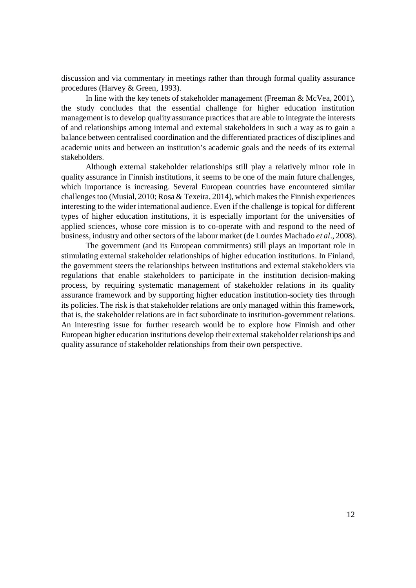discussion and via commentary in meetings rather than through formal quality assurance procedures (Harvey & Green, 1993).

In line with the key tenets of stakeholder management (Freeman & McVea, 2001), the study concludes that the essential challenge for higher education institution management is to develop quality assurance practices that are able to integrate the interests of and relationships among internal and external stakeholders in such a way as to gain a balance between centralised coordination and the differentiated practices of disciplines and academic units and between an institution's academic goals and the needs of its external stakeholders.

Although external stakeholder relationships still play a relatively minor role in quality assurance in Finnish institutions, it seems to be one of the main future challenges, which importance is increasing. Several European countries have encountered similar challenges too (Musial, 2010; Rosa & Texeira, 2014), which makes the Finnish experiences interesting to the wider international audience. Even if the challenge is topical for different types of higher education institutions, it is especially important for the universities of applied sciences, whose core mission is to co-operate with and respond to the need of business, industry and other sectors of the labour market (de Lourdes Machado *et al*., 2008).

The government (and its European commitments) still plays an important role in stimulating external stakeholder relationships of higher education institutions. In Finland, the government steers the relationships between institutions and external stakeholders via regulations that enable stakeholders to participate in the institution decision-making process, by requiring systematic management of stakeholder relations in its quality assurance framework and by supporting higher education institution-society ties through its policies. The risk is that stakeholder relations are only managed within this framework, that is, the stakeholder relations are in fact subordinate to institution-government relations. An interesting issue for further research would be to explore how Finnish and other European higher education institutions develop their external stakeholder relationships and quality assurance of stakeholder relationships from their own perspective.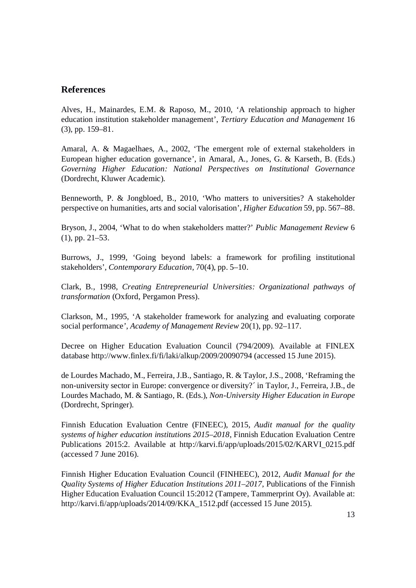### **References**

Alves, H., Mainardes, E.M. & Raposo, M., 2010, 'A relationship approach to higher education institution stakeholder management', *Tertiary Education and Management* 16 (3), pp. 159–81.

Amaral, A. & Magaelhaes, A., 2002, 'The emergent role of external stakeholders in European higher education governance', in Amaral, A., Jones, G. & Karseth, B. (Eds.) *Governing Higher Education: National Perspectives on Institutional Governance* (Dordrecht, Kluwer Academic).

Benneworth, P. & Jongbloed, B., 2010, 'Who matters to universities? A stakeholder perspective on humanities, arts and social valorisation', *Higher Education* 59, pp. 567–88.

Bryson, J., 2004, 'What to do when stakeholders matter?' *Public Management Review* 6 (1), pp. 21–53.

Burrows, J., 1999, 'Going beyond labels: a framework for profiling institutional stakeholders', *Contemporary Education,* 70(4), pp. 5–10.

Clark, B., 1998, *Creating Entrepreneurial Universities: Organizational pathways of transformation* (Oxford, Pergamon Press).

Clarkson, M., 1995, 'A stakeholder framework for analyzing and evaluating corporate social performance', *Academy of Management Review* 20(1), pp. 92–117.

Decree on Higher Education Evaluation Council (794/2009). Available at FINLEX database http://www.finlex.fi/fi/laki/alkup/2009/20090794 (accessed 15 June 2015).

de Lourdes Machado, M., Ferreira, J.B., Santiago, R. & Taylor, J.S., 2008, 'Reframing the non-university sector in Europe: convergence or diversity?´ in Taylor, J., Ferreira, J.B., de Lourdes Machado, M. & Santiago, R. (Eds.), *Non-University Higher Education in Europe* (Dordrecht, Springer).

Finnish Education Evaluation Centre (FINEEC), 2015, *Audit manual for the quality systems of higher education institutions 2015–2018*, Finnish Education Evaluation Centre Publications 2015:2. Available at http://karvi.fi/app/uploads/2015/02/KARVI\_0215.pdf (accessed 7 June 2016).

Finnish Higher Education Evaluation Council (FINHEEC), 2012, *Audit Manual for the Quality Systems of Higher Education Institutions 2011–2017*, Publications of the Finnish Higher Education Evaluation Council 15:2012 (Tampere, Tammerprint Oy). Available at: http://karvi.fi/app/uploads/2014/09/KKA\_1512.pdf (accessed 15 June 2015).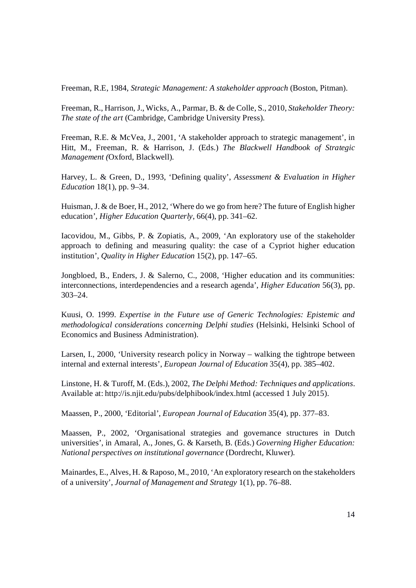Freeman, R.E, 1984, *Strategic Management: A stakeholder approach* (Boston, Pitman).

Freeman, R., Harrison, J., Wicks, A., Parmar, B. & de Colle, S., 2010, *Stakeholder Theory: The state of the art* (Cambridge, Cambridge University Press).

Freeman, R.E. & McVea, J., 2001, 'A stakeholder approach to strategic management', in Hitt, M., Freeman, R. & Harrison, J. (Eds.) *The Blackwell Handbook of Strategic Management (*Oxford, Blackwell).

Harvey, L. & Green, D., 1993, 'Defining quality', *Assessment & Evaluation in Higher Education* 18(1), pp. 9–34.

Huisman, J. & de Boer, H., 2012, 'Where do we go from here? The future of English higher education', *Higher Education Quarterly*, 66(4), pp. 341–62.

Iacovidou, M., Gibbs, P. & Zopiatis, A., 2009, 'An exploratory use of the stakeholder approach to defining and measuring quality: the case of a Cypriot higher education institution', *Quality in Higher Education* 15(2), pp. 147–65.

Jongbloed, B., Enders, J. & Salerno, C., 2008, 'Higher education and its communities: interconnections, interdependencies and a research agenda', *Higher Education* 56(3), pp. 303–24.

Kuusi, O. 1999. *Expertise in the Future use of Generic Technologies: Epistemic and methodological considerations concerning Delphi studies* (Helsinki, Helsinki School of Economics and Business Administration).

Larsen, I., 2000, 'University research policy in Norway – walking the tightrope between internal and external interests', *European Journal of Education* 35(4), pp. 385–402.

Linstone, H. & Turoff, M. (Eds.), 2002, *The Delphi Method: Techniques and applications*. Available at: http://is.njit.edu/pubs/delphibook/index.html (accessed 1 July 2015).

Maassen, P., 2000, 'Editorial', *European Journal of Education* 35(4), pp. 377–83.

Maassen, P., 2002, 'Organisational strategies and governance structures in Dutch universities', in Amaral, A., Jones, G. & Karseth, B. (Eds.) *Governing Higher Education: National perspectives on institutional governance* (Dordrecht, Kluwer).

Mainardes, E., Alves, H. & Raposo, M., 2010, 'An exploratory research on the stakeholders of a university', *Journal of Management and Strategy* 1(1), pp. 76–88.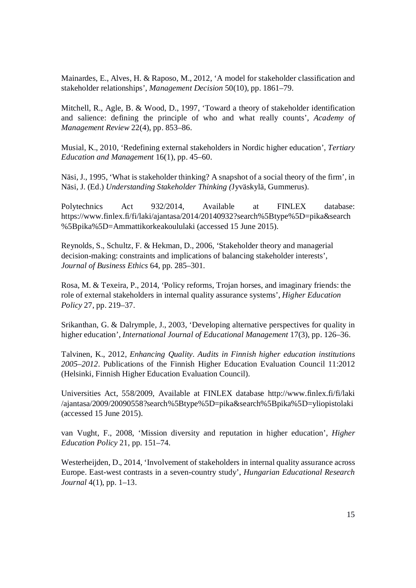Mainardes, E., Alves, H. & Raposo, M., 2012, 'A model for stakeholder classification and stakeholder relationships', *Management Decision* 50(10), pp. 1861–79.

Mitchell, R., Agle, B. & Wood, D., 1997, 'Toward a theory of stakeholder identification and salience: defining the principle of who and what really counts', *Academy of Management Review* 22(4), pp. 853–86.

Musial, K., 2010, 'Redefining external stakeholders in Nordic higher education', *Tertiary Education and Management* 16(1), pp. 45–60.

Näsi, J., 1995, 'What is stakeholder thinking? A snapshot of a social theory of the firm', in Näsi, J. (Ed.) *Understanding Stakeholder Thinking (*Jyväskylä, Gummerus).

Polytechnics Act 932/2014, Available at FINLEX database: https://www.finlex.fi/fi/laki/ajantasa/2014/20140932?search%5Btype%5D=pika&search %5Bpika%5D=Ammattikorkeakoululaki (accessed 15 June 2015).

Reynolds, S., Schultz, F. & Hekman, D., 2006, 'Stakeholder theory and managerial decision-making: constraints and implications of balancing stakeholder interests', *Journal of Business Ethics* 64, pp. 285–301.

Rosa, M. & Texeira, P., 2014, 'Policy reforms, Trojan horses, and imaginary friends: the role of external stakeholders in internal quality assurance systems', *Higher Education Policy* 27, pp. 219–37.

Srikanthan, G. & Dalrymple, J., 2003, 'Developing alternative perspectives for quality in higher education', *International Journal of Educational Management* 17(3), pp. 126–36.

Talvinen, K., 2012, *Enhancing Quality. Audits in Finnish higher education institutions 2005–2012*. Publications of the Finnish Higher Education Evaluation Council 11:2012 (Helsinki, Finnish Higher Education Evaluation Council).

Universities Act, 558/2009, Available at FINLEX database http://www.finlex.fi/fi/laki /ajantasa/2009/20090558?search%5Btype%5D=pika&search%5Bpika%5D=yliopistolaki (accessed 15 June 2015).

van Vught, F., 2008, 'Mission diversity and reputation in higher education', *Higher Education Policy* 21, pp. 151–74.

Westerheijden, D., 2014, 'Involvement of stakeholders in internal quality assurance across Europe. East-west contrasts in a seven-country study', *Hungarian Educational Research Journal* 4(1), pp. 1–13.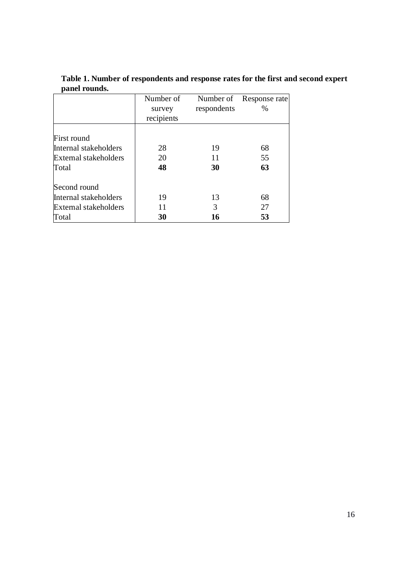|                              | Number of<br>survey<br>recipients | respondents | Number of Response rate<br>$\%$ |
|------------------------------|-----------------------------------|-------------|---------------------------------|
| First round                  |                                   |             |                                 |
| Internal stakeholders        | 28                                | 19          | 68                              |
| <b>External stakeholders</b> | 20                                | 11          | 55                              |
| Total                        | 48                                | 30          | 63                              |
| Second round                 |                                   |             |                                 |
| Internal stakeholders        | 19                                | 13          | 68                              |
| External stakeholders        | 11                                | 3           | 27                              |
| Total                        | 30                                | 16          | 53                              |

**Table 1. Number of respondents and response rates for the first and second expert panel rounds.**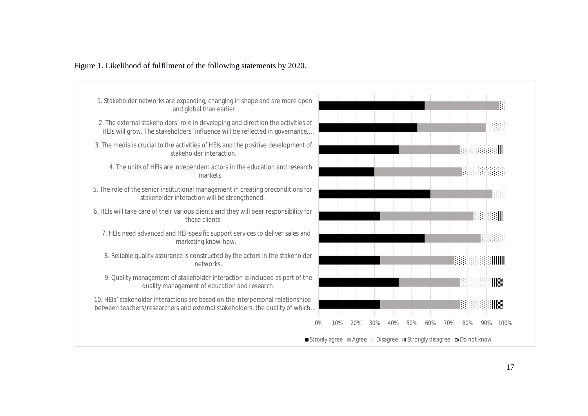

#### Figure 1. Likelihood of fulfilment of the following statements by 2020.